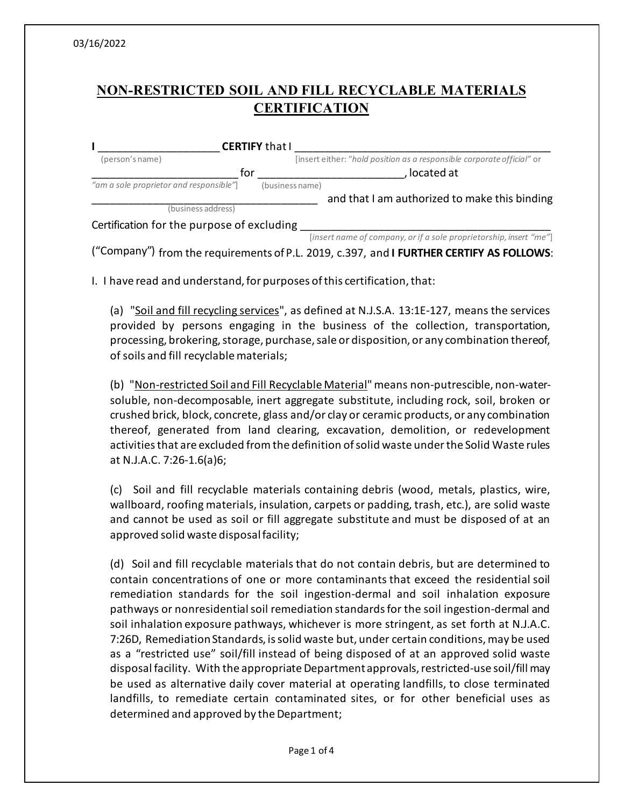## **NON-RESTRICTED SOIL AND FILL RECYCLABLE MATERIALS CERTIFICATION**

|                                            | <b>CERTIFY that I</b>                                                  |
|--------------------------------------------|------------------------------------------------------------------------|
| (person's name)                            | [insert either: "hold position as a responsible corporate official" or |
| for                                        | located at                                                             |
| "am a sole proprietor and responsible"     | (business name)                                                        |
|                                            | and that I am authorized to make this binding                          |
| (business address)                         |                                                                        |
| Certification for the purpose of excluding |                                                                        |
|                                            | [insert name of company, or if a sole proprietorship, insert "me"]     |

("Company") from the requirements of P.L. 2019, c.397, and **I FURTHER CERTIFY AS FOLLOWS**:

I. I have read and understand, for purposes of this certification, that:

(a) "Soil and fill recycling services", as defined at N.J.S.A. 13:1E-127, means the services provided by persons engaging in the business of the collection, transportation, processing, brokering, storage, purchase, sale or disposition, or any combination thereof, of soils and fill recyclable materials;

(b) "Non-restricted Soil and Fill Recyclable Material" means non-putrescible, non-watersoluble, non-decomposable, inert aggregate substitute, including rock, soil, broken or crushed brick, block, concrete, glass and/or clay or ceramic products, or any combination thereof, generated from land clearing, excavation, demolition, or redevelopment activities that are excluded from the definition of solid waste under the Solid Waste rules at N.J.A.C. 7:26-1.6(a)6;

(c) Soil and fill recyclable materials containing debris (wood, metals, plastics, wire, wallboard, roofing materials, insulation, carpets or padding, trash, etc.), are solid waste and cannot be used as soil or fill aggregate substitute and must be disposed of at an approved solid waste disposalfacility;

(d) Soil and fill recyclable materials that do not contain debris, but are determined to contain concentrations of one or more contaminants that exceed the residential soil remediation standards for the soil ingestion-dermal and soil inhalation exposure pathways or nonresidential soil remediation standards for the soil ingestion-dermal and soil inhalation exposure pathways, whichever is more stringent, as set forth at N.J.A.C. 7:26D, Remediation Standards, is solid waste but, under certain conditions, may be used as a "restricted use" soil/fill instead of being disposed of at an approved solid waste disposal facility. With the appropriate Departmentapprovals, restricted-use soil/fill may be used as alternative daily cover material at operating landfills, to close terminated landfills, to remediate certain contaminated sites, or for other beneficial uses as determined and approved by the Department;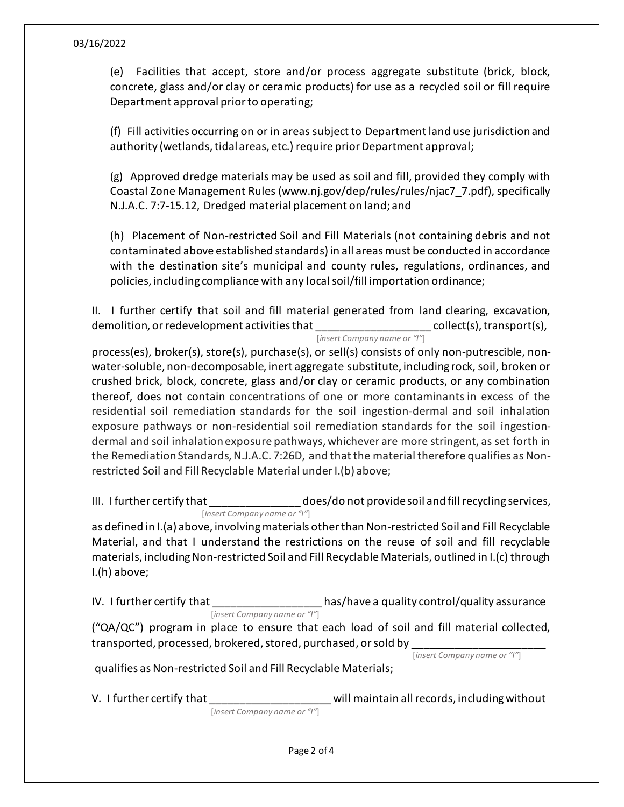## 03/16/2022

(e) Facilities that accept, store and/or process aggregate substitute (brick, block, concrete, glass and/or clay or ceramic products) for use as a recycled soil or fill require Department approval prior to operating;

(f) Fill activities occurring on or in areas subject to Department land use jurisdiction and authority (wetlands, tidal areas, etc.) require prior Department approval;

(g) Approved dredge materials may be used as soil and fill, provided they comply with Coastal Zone Management Rules (www.nj.gov/dep/rules/rules/njac7\_7.pdf), specifically N.J.A.C. 7:7-15.12, Dredged material placement on land; and

(h) Placement of Non-restricted Soil and Fill Materials (not containing debris and not contaminated above established standards) in all areas must be conducted in accordance with the destination site's municipal and county rules, regulations, ordinances, and policies, including compliance with any local soil/fill importation ordinance;

II. I further certify that soil and fill material generated from land clearing, excavation, demolition, or redevelopment activities that  $\qquad \qquad \text{collect(s)}, \text{transport(s)},$ 

[*insert Company name or "I"*]

process(es), broker(s), store(s), purchase(s), or sell(s) consists of only non-putrescible, nonwater-soluble, non-decomposable, inert aggregate substitute, including rock, soil, broken or crushed brick, block, concrete, glass and/or clay or ceramic products, or any combination thereof, does not contain concentrations of one or more contaminants in excess of the residential soil remediation standards for the soil ingestion-dermal and soil inhalation exposure pathways or non-residential soil remediation standards for the soil ingestiondermal and soil inhalation exposure pathways, whichever are more stringent, as set forth in the Remediation Standards, N.J.A.C. 7:26D, and that the material therefore qualifies as Nonrestricted Soil and Fill Recyclable Material under I.(b) above;

III. I further certify that  $\qquad \qquad \text{does/do not provide soil and fill recycling services},$ [*insert Company name or "I"*]

as defined in I.(a) above, involving materials other than Non-restricted Soil and Fill Recyclable Material, and that I understand the restrictions on the reuse of soil and fill recyclable materials, including Non-restricted Soil and Fill Recyclable Materials, outlined in I.(c) through I.(h) above;

IV. I further certify that  $\qquad \qquad$  has/have a quality control/quality assurance [*insert Company name or "I"*]

("QA/QC") program in place to ensure that each load of soil and fill material collected, transported, processed, brokered, stored, purchased, or sold by \_\_\_\_\_\_\_\_\_\_\_\_\_\_\_\_\_\_\_\_\_\_

[*insert Company name or "I"*]

qualifies as Non-restricted Soil and Fill Recyclable Materials;

V. I further certify that the same will maintain all records, including without [*insert Company name or "I"*]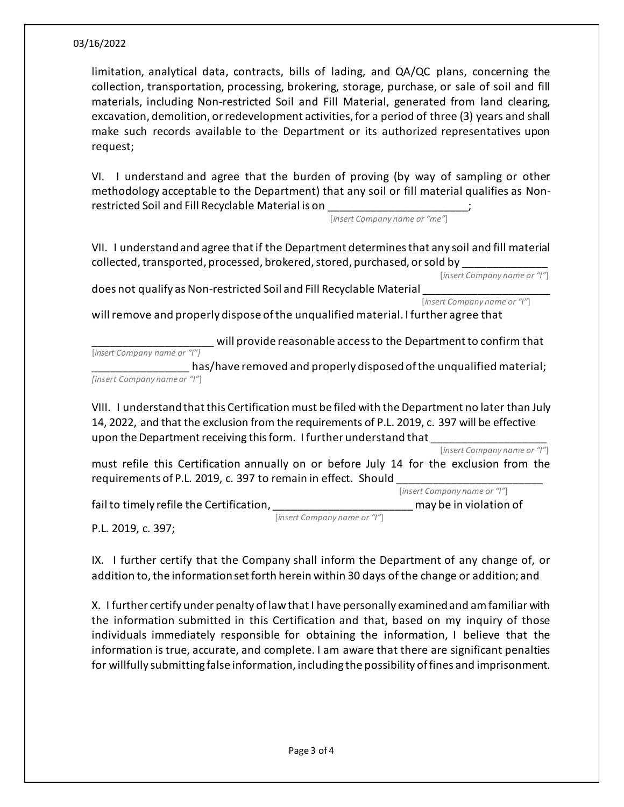## 03/16/2022

limitation, analytical data, contracts, bills of lading, and QA/QC plans, concerning the collection, transportation, processing, brokering, storage, purchase, or sale of soil and fill materials, including Non-restricted Soil and Fill Material, generated from land clearing, excavation, demolition, or redevelopment activities, for a period of three (3) years and shall make such records available to the Department or its authorized representatives upon request;

VI. I understand and agree that the burden of proving (by way of sampling or other methodology acceptable to the Department) that any soil or fill material qualifies as Nonrestricted Soil and Fill Recyclable Material is on

[*insert Company name or "me"*]

VII. I understand and agree that if the Department determines that any soil and fill material collected, transported, processed, brokered, stored, purchased, or sold by \_\_\_\_\_\_\_\_\_\_\_\_\_\_

[*insert Company name or "I"*]

does not qualify as Non-restricted Soil and Fill Recyclable Material \_\_\_\_\_\_\_\_\_\_\_\_\_\_\_\_\_\_\_\_\_

[*insert Company name or "I"*]

will remove and properly dispose of the unqualified material. I further agree that

will provide reasonable access to the Department to confirm that [*insert Company name or "I"]* 

has/have removed and properly disposed of the unqualified material; *[insert Company nameor "I"*]

VIII. I understand that this Certification must be filed with the Department no later than July 14, 2022, and that the exclusion from the requirements of P.L. 2019, c. 397 will be effective upon the Department receiving this form. I further understand that

[*insert Company name or "I"*]

must refile this Certification annually on or before July 14 for the exclusion from the requirements of P.L. 2019, c. 397 to remain in effect. Should \_\_\_\_\_\_\_\_\_\_\_\_\_\_\_\_\_\_\_\_\_\_\_\_ [*insert Company name or "I"*]

fail to timely refile the Certification, the controllering the state of the may be in violation of

[*insert Company name or "I"*]

P.L. 2019, c. 397;

IX. I further certify that the Company shall inform the Department of any change of, or addition to, the information set forth herein within 30 days of the change or addition; and

X. I further certify under penalty of law that I have personally examined and am familiar with the information submitted in this Certification and that, based on my inquiry of those individuals immediately responsible for obtaining the information, I believe that the information is true, accurate, and complete. I am aware that there are significant penalties for willfully submitting false information, including the possibility of fines and imprisonment.